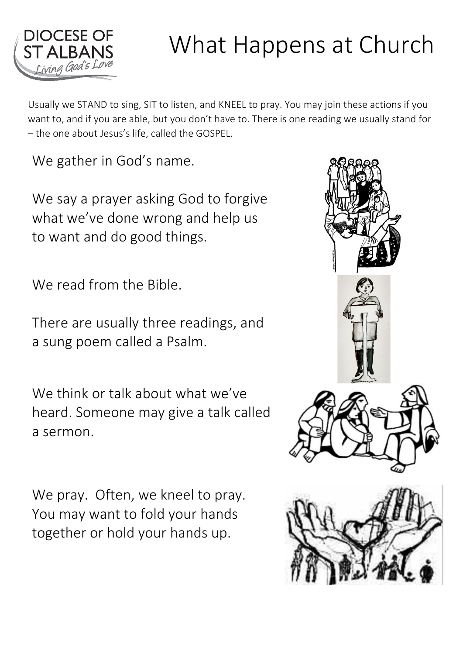

## What Happens at Church

Usually we STAND to sing, SIT to listen, and KNEEL to pray. You may join these actions if you want to, and if you are able, but you don't have to. There is one reading we usually stand for – the one about Jesus's life, called the GOSPEL.

We gather in God's name.

We say a prayer asking God to forgive what we've done wrong and help us to want and do good things.

We read from the Bible.

There are usually three readings, and a sung poem called a Psalm.

We think or talk about what we've heard. Someone may give a talk called a sermon.

We pray. Often, we kneel to pray. You may want to fold your hands together or hold your hands up.